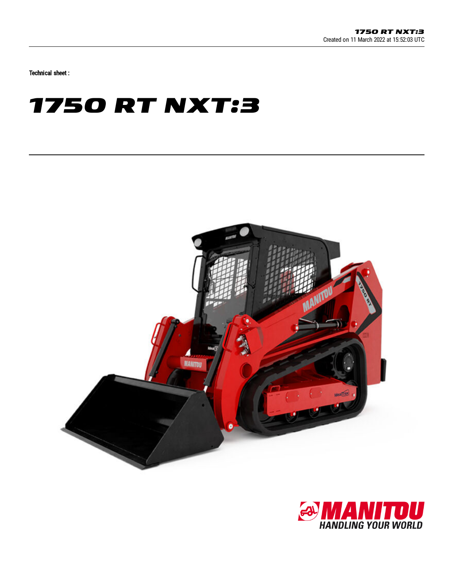Technical sheet :

## **1750 RT NXT:3**



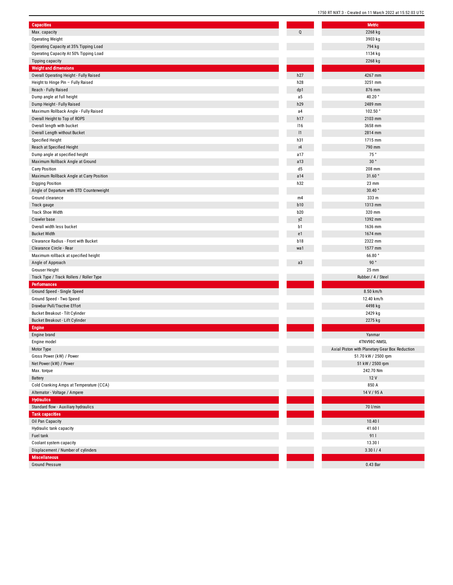| <b>Capacities</b>                                              |            | Metric                           |
|----------------------------------------------------------------|------------|----------------------------------|
| Max. capacity                                                  | Q          | 2268 kg                          |
| <b>Operating Weight</b>                                        |            | 3903 kg                          |
| Operating Capacity at 35% Tipping Load                         |            | 794 kg                           |
| Operating Capacity At 50% Tipping Load                         |            | 1134 kg                          |
| <b>Tipping capacity</b>                                        |            | 2268 kg                          |
| <b>Weight and dimensions</b>                                   |            |                                  |
| Overall Operating Height - Fully Raised                        | h27        | 4267 mm                          |
| Height to Hinge Pin - Fully Raised                             | h28        | 3251 mm                          |
| Reach - Fully Raised                                           | dp1        | 876 mm                           |
| Dump angle at full height                                      | a5         | 40.20°                           |
| Dump Height - Fully Raised                                     | h29        | 2489 mm                          |
| Maximum Rollback Angle - Fully Raised                          | a4         | 102.50°                          |
| Overall Height to Top of ROPS                                  | h17        | 2103 mm                          |
| Overall length with bucket                                     | 116        | 3658 mm                          |
| Overall Length without Bucket                                  | 1          | 2814 mm                          |
| Specified Height                                               | h31        | 1715 mm                          |
| Reach at Specified Height                                      | r4         | 790 mm                           |
| Dump angle at specified height                                 | a17        | 75°                              |
| Maximum Rollback Angle at Ground                               | a13        | 30°                              |
| <b>Carry Position</b>                                          | d5         | 208 mm                           |
| Maximum Rollback Angle at Carry Position                       | a14        | 31.60°                           |
| <b>Digging Position</b>                                        | h32        | 23 mm                            |
| Angle of Departure with STD Counterweight                      |            | 30.40°                           |
| Ground clearance                                               | m4         | 333 m                            |
| Track gauge                                                    | <b>b10</b> | 1313 mm                          |
| Track Shoe Width                                               | <b>b20</b> | 320 mm                           |
| Crawler base                                                   | y2         | 1392 mm                          |
| Overall width less bucket                                      | b1         | 1636 mm                          |
| <b>Bucket Width</b>                                            | e1         | 1674 mm                          |
| Clearance Radius - Front with Bucket                           | <b>b18</b> | 2322 mm                          |
| Clearance Circle - Rear                                        | wa1        | 1577 mm                          |
| Maximum rollback at specified height                           |            | 66.80°                           |
| Angle of Approach                                              | a3         | 90°                              |
| <b>Grouser Height</b>                                          |            | 25 mm                            |
| Track Type / Track Rollers / Roller Type                       |            | Rubber / 4 / Steel               |
| <b>Performances</b>                                            |            |                                  |
| Ground Speed - Single Speed                                    |            | 8.50 km/h                        |
| Ground Speed - Two Speed                                       |            | 12.40 km/h                       |
| Drawbar Pull/Tractive Effort                                   |            | 4498 kg                          |
| Bucket Breakout - Tilt Cylinder                                |            | 2429 kg                          |
| Bucket Breakout - Lift Cylinder                                |            | 2275 kg                          |
| <b>Engine</b>                                                  |            |                                  |
| Engine brand                                                   |            | Yanmar                           |
| Engine model                                                   |            | 4TNV98C-NMSL                     |
| Motor Type                                                     |            | Axial Piston with Planetary Gear |
| Gross Power (kW) / Power                                       |            | 51.70 kW / 2500 rp               |
| Net Power (kW) / Power                                         |            | 51 kW / 2500 rpm                 |
| Max. torque                                                    |            | 242.70 Nm                        |
| Battery                                                        |            | 12 V                             |
| Cold Cranking Amps at Temperature (CCA)                        |            | 850 A                            |
| Alternator - Voltage / Ampere                                  |            | 14 V / 95 A                      |
| <b>Hydraulics</b>                                              |            |                                  |
|                                                                |            | 70 l/min                         |
| Standard flow - Auxiliary hydraulics<br><b>Tank capacities</b> |            |                                  |
|                                                                |            | 10.401                           |
| Oil Pan Capacity                                               |            |                                  |
| Hydraulic tank capacity                                        |            | 41.60                            |
| Fuel tank                                                      |            | 911                              |
| Coolant system capacity                                        |            | 13.301                           |
| Displacement / Number of cylinders                             |            | $3.30$   / 4                     |
| <b>Miscellaneous</b>                                           |            |                                  |
| <b>Ground Pressure</b>                                         |            | 0.43 Bar                         |

| Metric                                         |
|------------------------------------------------|
| 2268 kg                                        |
| 3903 kg                                        |
| 794 kg                                         |
| 1134 kg                                        |
| 2268 kg                                        |
|                                                |
| 4267 mm                                        |
| 3251 mm                                        |
| 876 mm                                         |
| 40.20 $^{\circ}$                               |
| 2489 mm                                        |
| 102.50°                                        |
| 2103 mm                                        |
| 3658 mm                                        |
| 2814 mm                                        |
| 1715 mm                                        |
| 790 mm                                         |
| 75°                                            |
| $30$ $^{\circ}$                                |
| 208 mm                                         |
| 31.60°                                         |
| 23 mm<br>$30.40$ $^{\circ}$                    |
| 333 m                                          |
| 1313 mm                                        |
| 320 mm                                         |
| 1392 mm                                        |
| 1636 mm                                        |
| 1674 mm                                        |
| 2322 mm                                        |
| 1577 mm                                        |
|                                                |
|                                                |
| 66.80°                                         |
| 90°                                            |
| 25 mm<br>Rubber / 4 / Steel                    |
|                                                |
| 8.50 km/h                                      |
| 12.40 km/h                                     |
| 4498 kg                                        |
| 2429 kg                                        |
| 2275 kg                                        |
|                                                |
| Yanmar                                         |
| 4TNV98C-NMSL                                   |
| Axial Piston with Planetary Gear Box Reduction |
| 51.70 kW / 2500 rpm                            |
| 51 kW / 2500 rpm                               |
| 242.70 Nm                                      |
| 12V                                            |
| 850 A                                          |
| 14 V / 95 A                                    |
|                                                |
| 70 l/min                                       |
|                                                |
| 10.401                                         |
| 41.60                                          |
| 91 l                                           |
| 13.30                                          |
| $3.30$   / 4                                   |
| 0.43 Bar                                       |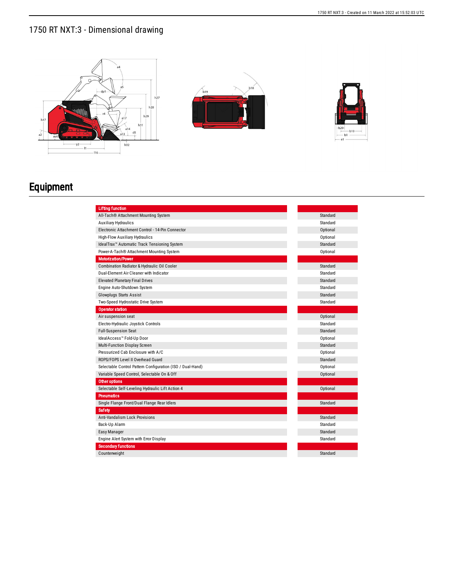## 1750 RT NXT:3 - Dimensional drawing







## Equipment

| <b>Lifting function</b>                                    |          |
|------------------------------------------------------------|----------|
| All-Tach® Attachment Mounting System                       | Standard |
| <b>Auxiliary Hydraulics</b>                                | Standard |
| Electronic Attachment Control - 14-Pin Connector           | Optional |
| High-Flow Auxiliary Hydraulics                             | Optional |
| IdealTrax <sup>™</sup> Automatic Track Tensioning System   | Standard |
| Power-A-Tach® Attachment Mounting System                   | Optional |
| <b>Motorization/Power</b>                                  |          |
| Combination Radiator & Hydraulic Oil Cooler                | Standard |
| Dual-Element Air Cleaner with Indicator                    | Standard |
|                                                            | Standard |
| <b>Elevated Planetary Final Drives</b>                     | Standard |
| Engine Auto-Shutdown System                                | Standard |
| <b>Glowplugs Starts Assist</b>                             | Standard |
| Two-Speed Hydrostatic Drive System                         |          |
| <b>Operator station</b>                                    |          |
| Air suspension seat                                        | Optional |
| Electro-Hydraulic Joystick Controls                        | Standard |
| <b>Full-Suspension Seat</b>                                | Standard |
| IdealAccess™ Fold-Up Door                                  | Optional |
| Multi-Function Display Screen                              | Standard |
| Pressurized Cab Enclosure with A/C                         | Optional |
| ROPS/FOPS Level II Overhead Guard                          | Standard |
| Selectable Control Pattern Configuration (ISO / Dual-Hand) | Optional |
| Variable Speed Control, Selectable On & Off                | Optional |
| <b>Other options</b>                                       |          |
| Selectable Self-Leveling Hydraulic Lift Action 4           | Optional |
| <b>Pneumatics</b>                                          |          |
| Single Flange Front/Dual Flange Rear Idlers                | Standard |
| <b>Safety</b>                                              |          |
| <b>Anti-Vandalism Lock Provisions</b>                      | Standard |
| Back-Up Alarm                                              | Standard |
| Easy Manager                                               | Standard |
| Engine Alert System with Error Display                     | Standard |
| <b>Secondary functions</b>                                 |          |
| Counterweight                                              | Standard |